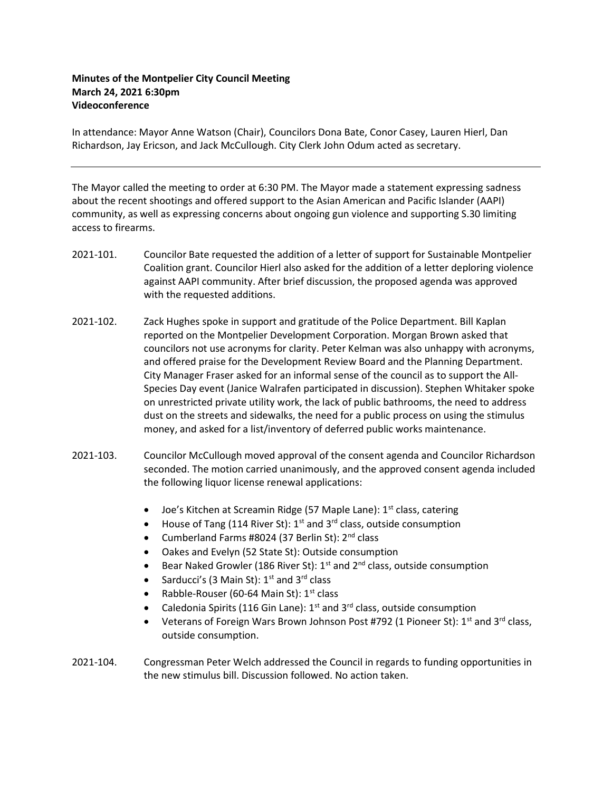## Minutes of the Montpelier City Council Meeting March 24, 2021 6:30pm Videoconference

In attendance: Mayor Anne Watson (Chair), Councilors Dona Bate, Conor Casey, Lauren Hierl, Dan Richardson, Jay Ericson, and Jack McCullough. City Clerk John Odum acted as secretary.

The Mayor called the meeting to order at 6:30 PM. The Mayor made a statement expressing sadness about the recent shootings and offered support to the Asian American and Pacific Islander (AAPI) community, as well as expressing concerns about ongoing gun violence and supporting S.30 limiting access to firearms.

- 2021-101. Councilor Bate requested the addition of a letter of support for Sustainable Montpelier Coalition grant. Councilor Hierl also asked for the addition of a letter deploring violence against AAPI community. After brief discussion, the proposed agenda was approved with the requested additions.
- 2021-102. Zack Hughes spoke in support and gratitude of the Police Department. Bill Kaplan reported on the Montpelier Development Corporation. Morgan Brown asked that councilors not use acronyms for clarity. Peter Kelman was also unhappy with acronyms, and offered praise for the Development Review Board and the Planning Department. City Manager Fraser asked for an informal sense of the council as to support the All-Species Day event (Janice Walrafen participated in discussion). Stephen Whitaker spoke on unrestricted private utility work, the lack of public bathrooms, the need to address dust on the streets and sidewalks, the need for a public process on using the stimulus money, and asked for a list/inventory of deferred public works maintenance.
- 2021-103. Councilor McCullough moved approval of the consent agenda and Councilor Richardson seconded. The motion carried unanimously, and the approved consent agenda included the following liquor license renewal applications:
	- $\bullet$  Joe's Kitchen at Screamin Ridge (57 Maple Lane): 1<sup>st</sup> class, catering
	- House of Tang (114 River St):  $1^{st}$  and  $3^{rd}$  class, outside consumption
	- Cumberland Farms #8024 (37 Berlin St):  $2^{nd}$  class
	- Oakes and Evelyn (52 State St): Outside consumption
	- **Bear Naked Growler (186 River St): 1**<sup>st</sup> and  $2^{nd}$  class, outside consumption
	- Sarducci's (3 Main St):  $1^{st}$  and  $3^{rd}$  class
	- Rabble-Rouser (60-64 Main St):  $1<sup>st</sup>$  class
	- Caledonia Spirits (116 Gin Lane):  $1<sup>st</sup>$  and  $3<sup>rd</sup>$  class, outside consumption
	- Veterans of Foreign Wars Brown Johnson Post #792 (1 Pioneer St):  $1<sup>st</sup>$  and  $3<sup>rd</sup>$  class, outside consumption.
- 2021-104. Congressman Peter Welch addressed the Council in regards to funding opportunities in the new stimulus bill. Discussion followed. No action taken.